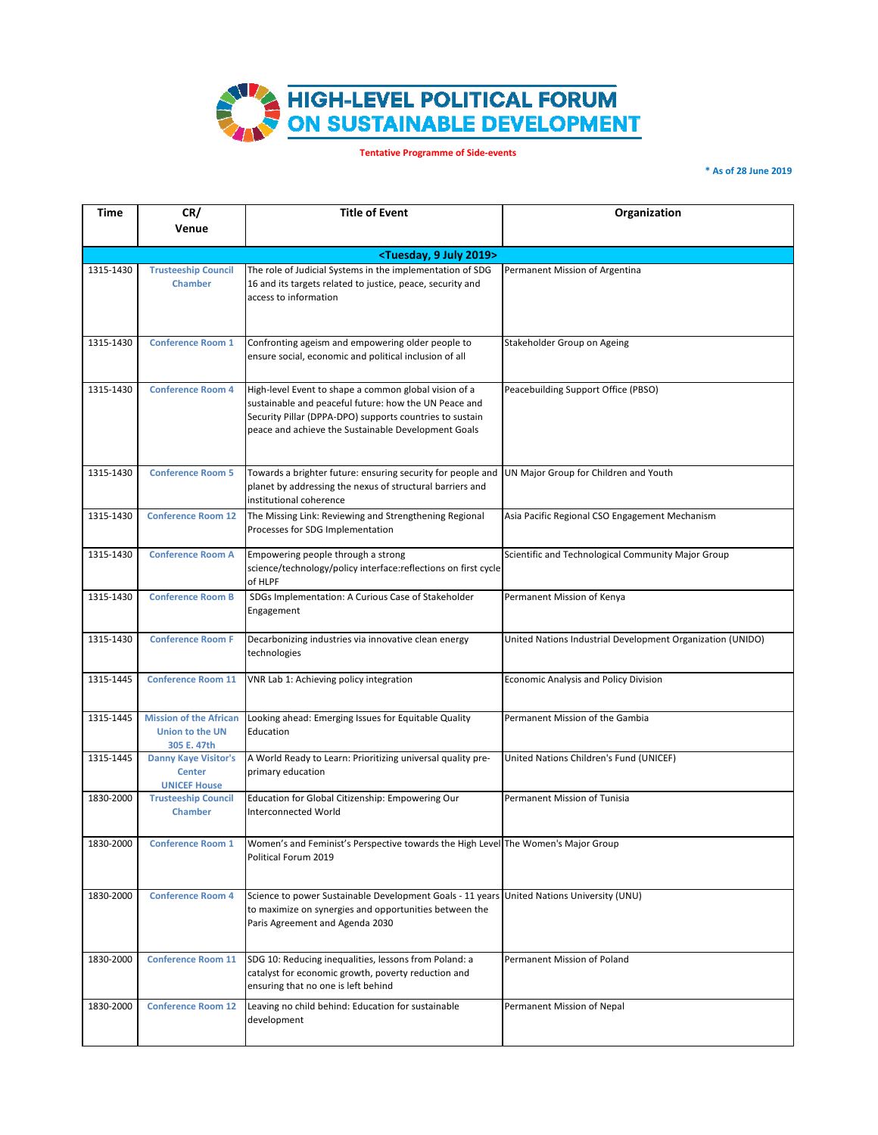

**Tentative Programme of Side-events**

**\* As of 28 June 2019**

| Time                                       | CR/                                                                    | <b>Title of Event</b>                                                                                                                                                                                                             | Organization                                               |  |
|--------------------------------------------|------------------------------------------------------------------------|-----------------------------------------------------------------------------------------------------------------------------------------------------------------------------------------------------------------------------------|------------------------------------------------------------|--|
|                                            | Venue                                                                  |                                                                                                                                                                                                                                   |                                                            |  |
|                                            |                                                                        |                                                                                                                                                                                                                                   |                                                            |  |
| <tuesday, 2019="" 9="" july=""></tuesday,> |                                                                        |                                                                                                                                                                                                                                   |                                                            |  |
| 1315-1430                                  | <b>Trusteeship Council</b><br><b>Chamber</b>                           | The role of Judicial Systems in the implementation of SDG<br>16 and its targets related to justice, peace, security and<br>access to information                                                                                  | Permanent Mission of Argentina                             |  |
| 1315-1430                                  | <b>Conference Room 1</b>                                               | Confronting ageism and empowering older people to<br>ensure social, economic and political inclusion of all                                                                                                                       | Stakeholder Group on Ageing                                |  |
| 1315-1430                                  | <b>Conference Room 4</b>                                               | High-level Event to shape a common global vision of a<br>sustainable and peaceful future: how the UN Peace and<br>Security Pillar (DPPA-DPO) supports countries to sustain<br>peace and achieve the Sustainable Development Goals | Peacebuilding Support Office (PBSO)                        |  |
| 1315-1430                                  | <b>Conference Room 5</b>                                               | Towards a brighter future: ensuring security for people and<br>planet by addressing the nexus of structural barriers and<br>institutional coherence                                                                               | UN Major Group for Children and Youth                      |  |
| 1315-1430                                  | <b>Conference Room 12</b>                                              | The Missing Link: Reviewing and Strengthening Regional<br>Processes for SDG Implementation                                                                                                                                        | Asia Pacific Regional CSO Engagement Mechanism             |  |
| 1315-1430                                  | <b>Conference Room A</b>                                               | Empowering people through a strong<br>science/technology/policy interface:reflections on first cycle<br>of HLPF                                                                                                                   | Scientific and Technological Community Major Group         |  |
| 1315-1430                                  | <b>Conference Room B</b>                                               | SDGs Implementation: A Curious Case of Stakeholder<br>Engagement                                                                                                                                                                  | Permanent Mission of Kenya                                 |  |
| 1315-1430                                  | <b>Conference Room F</b>                                               | Decarbonizing industries via innovative clean energy<br>technologies                                                                                                                                                              | United Nations Industrial Development Organization (UNIDO) |  |
| 1315-1445                                  | <b>Conference Room 11</b>                                              | VNR Lab 1: Achieving policy integration                                                                                                                                                                                           | <b>Economic Analysis and Policy Division</b>               |  |
| 1315-1445                                  | <b>Mission of the African</b><br><b>Union to the UN</b><br>305 E. 47th | Looking ahead: Emerging Issues for Equitable Quality<br>Education                                                                                                                                                                 | Permanent Mission of the Gambia                            |  |
| 1315-1445                                  | <b>Danny Kaye Visitor's</b><br><b>Center</b><br><b>UNICEF House</b>    | A World Ready to Learn: Prioritizing universal quality pre-<br>primary education                                                                                                                                                  | United Nations Children's Fund (UNICEF)                    |  |
| 1830-2000                                  | <b>Trusteeship Council</b><br><b>Chamber</b>                           | Education for Global Citizenship: Empowering Our<br>Interconnected World                                                                                                                                                          | Permanent Mission of Tunisia                               |  |
| 1830-2000                                  | <b>Conference Room 1</b>                                               | Women's and Feminist's Perspective towards the High Level The Women's Major Group<br>Political Forum 2019                                                                                                                         |                                                            |  |
| 1830-2000                                  | <b>Conference Room 4</b>                                               | Science to power Sustainable Development Goals - 11 years United Nations University (UNU)<br>to maximize on synergies and opportunities between the<br>Paris Agreement and Agenda 2030                                            |                                                            |  |
| 1830-2000                                  | <b>Conference Room 11</b>                                              | SDG 10: Reducing inequalities, lessons from Poland: a<br>catalyst for economic growth, poverty reduction and<br>ensuring that no one is left behind                                                                               | Permanent Mission of Poland                                |  |
| 1830-2000                                  | <b>Conference Room 12</b>                                              | Leaving no child behind: Education for sustainable<br>development                                                                                                                                                                 | Permanent Mission of Nepal                                 |  |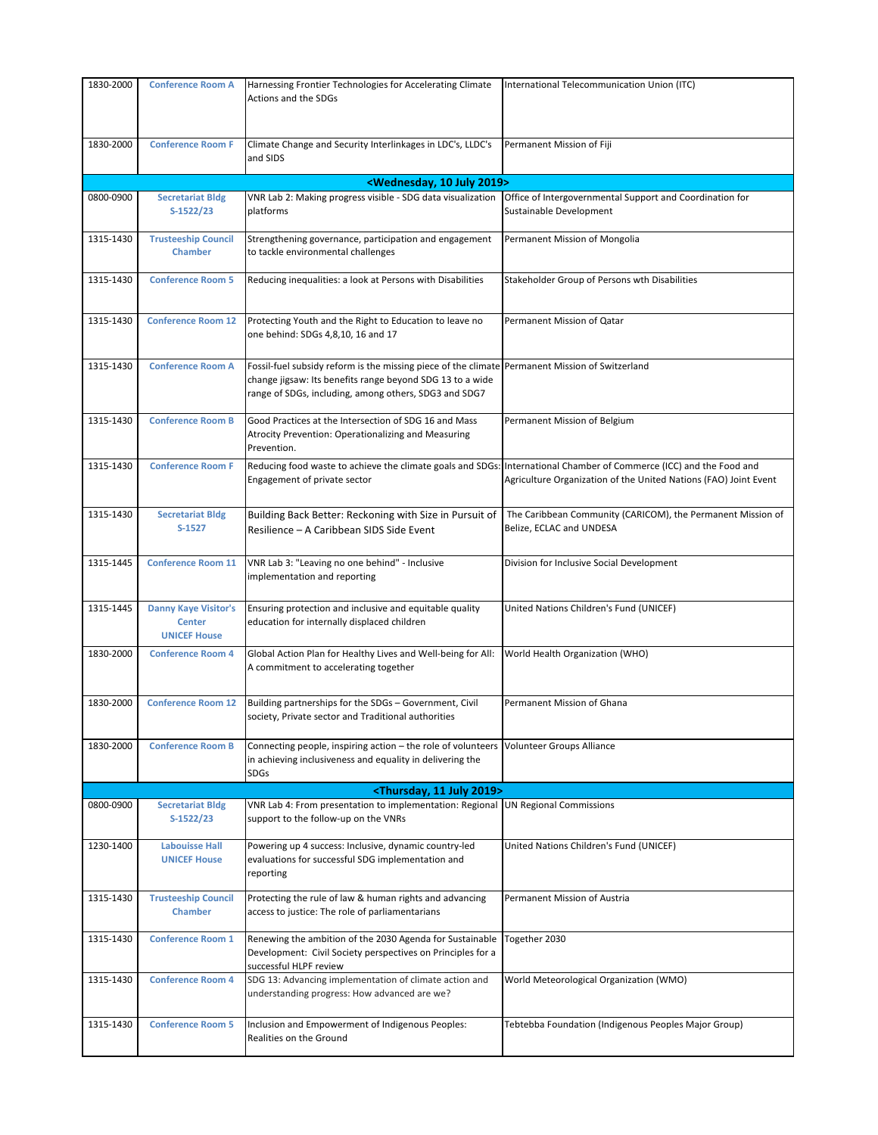| 1830-2000 | <b>Conference Room A</b>                                            | Harnessing Frontier Technologies for Accelerating Climate<br>Actions and the SDGs                                                                                                                                     | International Telecommunication Union (ITC)                                                                                  |
|-----------|---------------------------------------------------------------------|-----------------------------------------------------------------------------------------------------------------------------------------------------------------------------------------------------------------------|------------------------------------------------------------------------------------------------------------------------------|
| 1830-2000 | <b>Conference Room F</b>                                            | Climate Change and Security Interlinkages in LDC's, LLDC's<br>and SIDS                                                                                                                                                | Permanent Mission of Fiji                                                                                                    |
|           |                                                                     | <wednesday, 10="" 2019="" july=""></wednesday,>                                                                                                                                                                       |                                                                                                                              |
| 0800-0900 | <b>Secretariat Bldg</b><br>$S-1522/23$                              | VNR Lab 2: Making progress visible - SDG data visualization<br>platforms                                                                                                                                              | Office of Intergovernmental Support and Coordination for<br>Sustainable Development                                          |
| 1315-1430 | <b>Trusteeship Council</b><br><b>Chamber</b>                        | Strengthening governance, participation and engagement<br>to tackle environmental challenges                                                                                                                          | Permanent Mission of Mongolia                                                                                                |
| 1315-1430 | <b>Conference Room 5</b>                                            | Reducing inequalities: a look at Persons with Disabilities                                                                                                                                                            | Stakeholder Group of Persons wth Disabilities                                                                                |
| 1315-1430 | <b>Conference Room 12</b>                                           | Protecting Youth and the Right to Education to leave no<br>one behind: SDGs 4,8,10, 16 and 17                                                                                                                         | Permanent Mission of Qatar                                                                                                   |
| 1315-1430 | <b>Conference Room A</b>                                            | Fossil-fuel subsidy reform is the missing piece of the climate Permanent Mission of Switzerland<br>change jigsaw: Its benefits range beyond SDG 13 to a wide<br>range of SDGs, including, among others, SDG3 and SDG7 |                                                                                                                              |
| 1315-1430 | <b>Conference Room B</b>                                            | Good Practices at the Intersection of SDG 16 and Mass<br>Atrocity Prevention: Operationalizing and Measuring<br>Prevention.                                                                                           | Permanent Mission of Belgium                                                                                                 |
| 1315-1430 | <b>Conference Room F</b>                                            | Reducing food waste to achieve the climate goals and SDGs:<br>Engagement of private sector                                                                                                                            | International Chamber of Commerce (ICC) and the Food and<br>Agriculture Organization of the United Nations (FAO) Joint Event |
| 1315-1430 | <b>Secretariat Bldg</b><br>S-1527                                   | Building Back Better: Reckoning with Size in Pursuit of<br>Resilience - A Caribbean SIDS Side Event                                                                                                                   | The Caribbean Community (CARICOM), the Permanent Mission of<br>Belize, ECLAC and UNDESA                                      |
| 1315-1445 | <b>Conference Room 11</b>                                           | VNR Lab 3: "Leaving no one behind" - Inclusive<br>implementation and reporting                                                                                                                                        | Division for Inclusive Social Development                                                                                    |
| 1315-1445 | <b>Danny Kaye Visitor's</b><br><b>Center</b><br><b>UNICEF House</b> | Ensuring protection and inclusive and equitable quality<br>education for internally displaced children                                                                                                                | United Nations Children's Fund (UNICEF)                                                                                      |
| 1830-2000 | <b>Conference Room 4</b>                                            | Global Action Plan for Healthy Lives and Well-being for All:<br>A commitment to accelerating together                                                                                                                 | World Health Organization (WHO)                                                                                              |
| 1830-2000 | <b>Conference Room 12</b>                                           | Building partnerships for the SDGs - Government, Civil<br>society, Private sector and Traditional authorities                                                                                                         | Permanent Mission of Ghana                                                                                                   |
| 1830-2000 | <b>Conference Room B</b>                                            | Connecting people, inspiring action – the role of volunteers Volunteer Groups Alliance<br>in achieving inclusiveness and equality in delivering the<br>SDGs                                                           |                                                                                                                              |
|           |                                                                     | <thursday, 11="" 2019="" july=""></thursday,>                                                                                                                                                                         |                                                                                                                              |
| 0800-0900 | <b>Secretariat Bldg</b><br>$S-1522/23$                              | VNR Lab 4: From presentation to implementation: Regional UN Regional Commissions<br>support to the follow-up on the VNRs                                                                                              |                                                                                                                              |
| 1230-1400 | <b>Labouisse Hall</b><br><b>UNICEF House</b>                        | Powering up 4 success: Inclusive, dynamic country-led<br>evaluations for successful SDG implementation and<br>reporting                                                                                               | United Nations Children's Fund (UNICEF)                                                                                      |
| 1315-1430 | <b>Trusteeship Council</b><br><b>Chamber</b>                        | Protecting the rule of law & human rights and advancing<br>access to justice: The role of parliamentarians                                                                                                            | Permanent Mission of Austria                                                                                                 |
| 1315-1430 | <b>Conference Room 1</b>                                            | Renewing the ambition of the 2030 Agenda for Sustainable<br>Development: Civil Society perspectives on Principles for a<br>successful HLPF review                                                                     | Together 2030                                                                                                                |
| 1315-1430 | <b>Conference Room 4</b>                                            | SDG 13: Advancing implementation of climate action and<br>understanding progress: How advanced are we?                                                                                                                | World Meteorological Organization (WMO)                                                                                      |
| 1315-1430 | <b>Conference Room 5</b>                                            | Inclusion and Empowerment of Indigenous Peoples:<br>Realities on the Ground                                                                                                                                           | Tebtebba Foundation (Indigenous Peoples Major Group)                                                                         |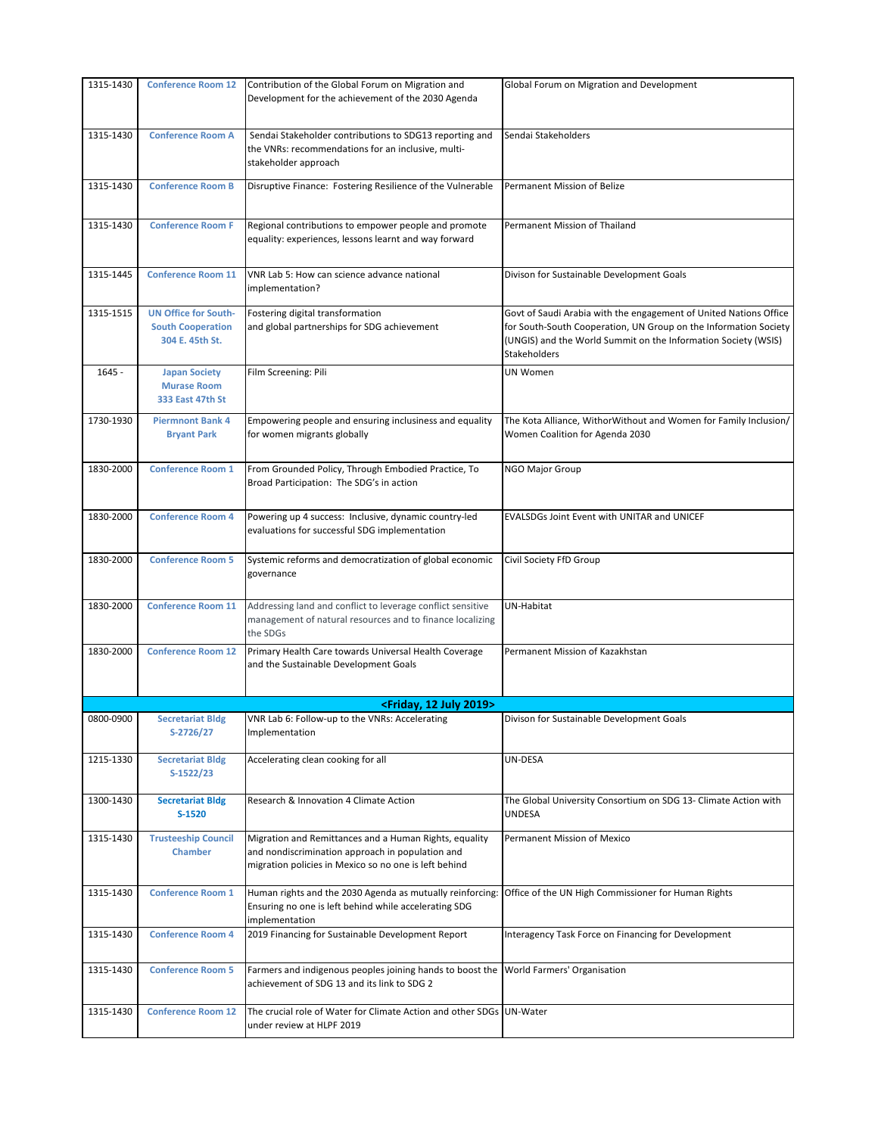| 1315-1430 | <b>Conference Room 12</b>                                                  | Contribution of the Global Forum on Migration and<br>Development for the achievement of the 2030 Agenda                                                             | Global Forum on Migration and Development                                                                                                                                                                               |
|-----------|----------------------------------------------------------------------------|---------------------------------------------------------------------------------------------------------------------------------------------------------------------|-------------------------------------------------------------------------------------------------------------------------------------------------------------------------------------------------------------------------|
| 1315-1430 | <b>Conference Room A</b>                                                   | Sendai Stakeholder contributions to SDG13 reporting and<br>the VNRs: recommendations for an inclusive, multi-<br>stakeholder approach                               | Sendai Stakeholders                                                                                                                                                                                                     |
| 1315-1430 | <b>Conference Room B</b>                                                   | Disruptive Finance: Fostering Resilience of the Vulnerable                                                                                                          | Permanent Mission of Belize                                                                                                                                                                                             |
| 1315-1430 | <b>Conference Room F</b>                                                   | Regional contributions to empower people and promote<br>equality: experiences, lessons learnt and way forward                                                       | Permanent Mission of Thailand                                                                                                                                                                                           |
| 1315-1445 | <b>Conference Room 11</b>                                                  | VNR Lab 5: How can science advance national<br>implementation?                                                                                                      | Divison for Sustainable Development Goals                                                                                                                                                                               |
| 1315-1515 | <b>UN Office for South-</b><br><b>South Cooperation</b><br>304 E. 45th St. | Fostering digital transformation<br>and global partnerships for SDG achievement                                                                                     | Govt of Saudi Arabia with the engagement of United Nations Office<br>for South-South Cooperation, UN Group on the Information Society<br>(UNGIS) and the World Summit on the Information Society (WSIS)<br>Stakeholders |
| $1645 -$  | <b>Japan Society</b><br><b>Murase Room</b><br>333 East 47th St             | Film Screening: Pili                                                                                                                                                | <b>UN Women</b>                                                                                                                                                                                                         |
| 1730-1930 | <b>Piermnont Bank 4</b><br><b>Bryant Park</b>                              | Empowering people and ensuring inclusiness and equality<br>for women migrants globally                                                                              | The Kota Alliance, WithorWithout and Women for Family Inclusion/<br>Women Coalition for Agenda 2030                                                                                                                     |
| 1830-2000 | <b>Conference Room 1</b>                                                   | From Grounded Policy, Through Embodied Practice, To<br>Broad Participation: The SDG's in action                                                                     | NGO Major Group                                                                                                                                                                                                         |
| 1830-2000 | <b>Conference Room 4</b>                                                   | Powering up 4 success: Inclusive, dynamic country-led<br>evaluations for successful SDG implementation                                                              | EVALSDGs Joint Event with UNITAR and UNICEF                                                                                                                                                                             |
| 1830-2000 | <b>Conference Room 5</b>                                                   | Systemic reforms and democratization of global economic<br>governance                                                                                               | Civil Society FfD Group                                                                                                                                                                                                 |
| 1830-2000 | <b>Conference Room 11</b>                                                  | Addressing land and conflict to leverage conflict sensitive<br>management of natural resources and to finance localizing<br>the SDGs                                | UN-Habitat                                                                                                                                                                                                              |
| 1830-2000 | <b>Conference Room 12</b>                                                  | Primary Health Care towards Universal Health Coverage<br>and the Sustainable Development Goals                                                                      | Permanent Mission of Kazakhstan                                                                                                                                                                                         |
|           |                                                                            | <friday, 12="" 2019="" july=""></friday,>                                                                                                                           |                                                                                                                                                                                                                         |
| 0800-0900 | <b>Secretariat Bidg</b><br>S-2726/27                                       | VNR Lab 6: Follow-up to the VNRs: Accelerating<br>Implementation                                                                                                    | Divison for Sustainable Development Goals                                                                                                                                                                               |
| 1215-1330 | <b>Secretariat Bldg</b><br>$S-1522/23$                                     | Accelerating clean cooking for all                                                                                                                                  | UN-DESA                                                                                                                                                                                                                 |
| 1300-1430 | <b>Secretariat Bldg</b><br>S-1520                                          | Research & Innovation 4 Climate Action                                                                                                                              | The Global University Consortium on SDG 13- Climate Action with<br><b>UNDESA</b>                                                                                                                                        |
| 1315-1430 | <b>Trusteeship Council</b><br><b>Chamber</b>                               | Migration and Remittances and a Human Rights, equality<br>and nondiscrimination approach in population and<br>migration policies in Mexico so no one is left behind | Permanent Mission of Mexico                                                                                                                                                                                             |
| 1315-1430 | <b>Conference Room 1</b>                                                   | Human rights and the 2030 Agenda as mutually reinforcing:<br>Ensuring no one is left behind while accelerating SDG<br>implementation                                | Office of the UN High Commissioner for Human Rights                                                                                                                                                                     |
| 1315-1430 | <b>Conference Room 4</b>                                                   | 2019 Financing for Sustainable Development Report                                                                                                                   | Interagency Task Force on Financing for Development                                                                                                                                                                     |
| 1315-1430 | <b>Conference Room 5</b>                                                   | Farmers and indigenous peoples joining hands to boost the<br>achievement of SDG 13 and its link to SDG 2                                                            | World Farmers' Organisation                                                                                                                                                                                             |
| 1315-1430 | <b>Conference Room 12</b>                                                  | The crucial role of Water for Climate Action and other SDGs UN-Water<br>under review at HLPF 2019                                                                   |                                                                                                                                                                                                                         |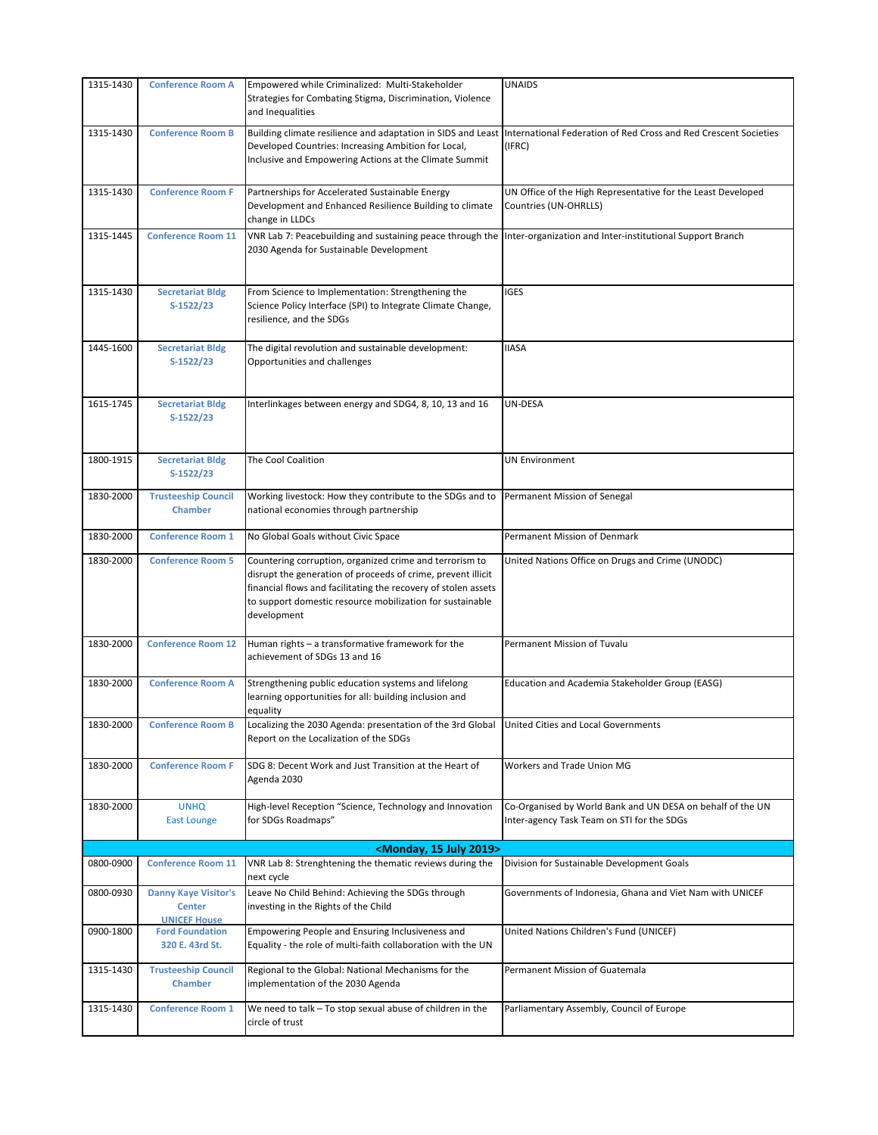| 1315-1430 | <b>Conference Room A</b>                                            | Empowered while Criminalized: Multi-Stakeholder<br>Strategies for Combating Stigma, Discrimination, Violence<br>and Inequalities                                                                                                                                      | <b>UNAIDS</b>                                                                                            |
|-----------|---------------------------------------------------------------------|-----------------------------------------------------------------------------------------------------------------------------------------------------------------------------------------------------------------------------------------------------------------------|----------------------------------------------------------------------------------------------------------|
| 1315-1430 | <b>Conference Room B</b>                                            | Building climate resilience and adaptation in SIDS and Least<br>Developed Countries: Increasing Ambition for Local,<br>Inclusive and Empowering Actions at the Climate Summit                                                                                         | International Federation of Red Cross and Red Crescent Societies<br>(IFRC)                               |
| 1315-1430 | <b>Conference Room F</b>                                            | Partnerships for Accelerated Sustainable Energy<br>Development and Enhanced Resilience Building to climate<br>change in LLDCs                                                                                                                                         | UN Office of the High Representative for the Least Developed<br>Countries (UN-OHRLLS)                    |
| 1315-1445 | <b>Conference Room 11</b>                                           | VNR Lab 7: Peacebuilding and sustaining peace through the Inter-organization and Inter-institutional Support Branch<br>2030 Agenda for Sustainable Development                                                                                                        |                                                                                                          |
| 1315-1430 | <b>Secretariat Bldg</b><br>$S-1522/23$                              | From Science to Implementation: Strengthening the<br>Science Policy Interface (SPI) to Integrate Climate Change,<br>resilience, and the SDGs                                                                                                                          | <b>IGES</b>                                                                                              |
| 1445-1600 | <b>Secretariat Bldg</b><br>$S-1522/23$                              | The digital revolution and sustainable development:<br>Opportunities and challenges                                                                                                                                                                                   | <b>IIASA</b>                                                                                             |
| 1615-1745 | <b>Secretariat Bldg</b><br>$S-1522/23$                              | Interlinkages between energy and SDG4, 8, 10, 13 and 16                                                                                                                                                                                                               | UN-DESA                                                                                                  |
| 1800-1915 | <b>Secretariat Bldg</b><br>$S-1522/23$                              | The Cool Coalition                                                                                                                                                                                                                                                    | <b>UN Environment</b>                                                                                    |
| 1830-2000 | <b>Trusteeship Council</b><br><b>Chamber</b>                        | Working livestock: How they contribute to the SDGs and to<br>national economies through partnership                                                                                                                                                                   | Permanent Mission of Senegal                                                                             |
| 1830-2000 | <b>Conference Room 1</b>                                            | No Global Goals without Civic Space                                                                                                                                                                                                                                   | Permanent Mission of Denmark                                                                             |
| 1830-2000 | <b>Conference Room 5</b>                                            | Countering corruption, organized crime and terrorism to<br>disrupt the generation of proceeds of crime, prevent illicit<br>financial flows and facilitating the recovery of stolen assets<br>to support domestic resource mobilization for sustainable<br>development | United Nations Office on Drugs and Crime (UNODC)                                                         |
| 1830-2000 | <b>Conference Room 12</b>                                           | Human rights - a transformative framework for the<br>achievement of SDGs 13 and 16                                                                                                                                                                                    | Permanent Mission of Tuvalu                                                                              |
| 1830-2000 | <b>Conference Room A</b>                                            | Strengthening public education systems and lifelong<br>learning opportunities for all: building inclusion and<br>equality                                                                                                                                             | Education and Academia Stakeholder Group (EASG)                                                          |
| 1830-2000 | <b>Conference Room B</b>                                            | Localizing the 2030 Agenda: presentation of the 3rd Global<br>Report on the Localization of the SDGs                                                                                                                                                                  | United Cities and Local Governments                                                                      |
| 1830-2000 | <b>Conference Room F</b>                                            | SDG 8: Decent Work and Just Transition at the Heart of<br>Agenda 2030                                                                                                                                                                                                 | Workers and Trade Union MG                                                                               |
| 1830-2000 | <b>UNHQ</b><br><b>East Lounge</b>                                   | High-level Reception "Science, Technology and Innovation<br>for SDGs Roadmaps"                                                                                                                                                                                        | Co-Organised by World Bank and UN DESA on behalf of the UN<br>Inter-agency Task Team on STI for the SDGs |
|           |                                                                     | <monday, 15="" 2019="" july=""></monday,>                                                                                                                                                                                                                             |                                                                                                          |
| 0800-0900 | <b>Conference Room 11</b>                                           | VNR Lab 8: Strenghtening the thematic reviews during the<br>next cycle                                                                                                                                                                                                | Division for Sustainable Development Goals                                                               |
| 0800-0930 | <b>Danny Kaye Visitor's</b><br><b>Center</b><br><b>UNICEF House</b> | Leave No Child Behind: Achieving the SDGs through<br>investing in the Rights of the Child                                                                                                                                                                             | Governments of Indonesia, Ghana and Viet Nam with UNICEF                                                 |
| 0900-1800 | <b>Ford Foundation</b><br>320 E. 43rd St.                           | Empowering People and Ensuring Inclusiveness and<br>Equality - the role of multi-faith collaboration with the UN                                                                                                                                                      | United Nations Children's Fund (UNICEF)                                                                  |
| 1315-1430 | <b>Trusteeship Council</b><br><b>Chamber</b>                        | Regional to the Global: National Mechanisms for the<br>implementation of the 2030 Agenda                                                                                                                                                                              | Permanent Mission of Guatemala                                                                           |
| 1315-1430 | <b>Conference Room 1</b>                                            | We need to talk $-$ To stop sexual abuse of children in the<br>circle of trust                                                                                                                                                                                        | Parliamentary Assembly, Council of Europe                                                                |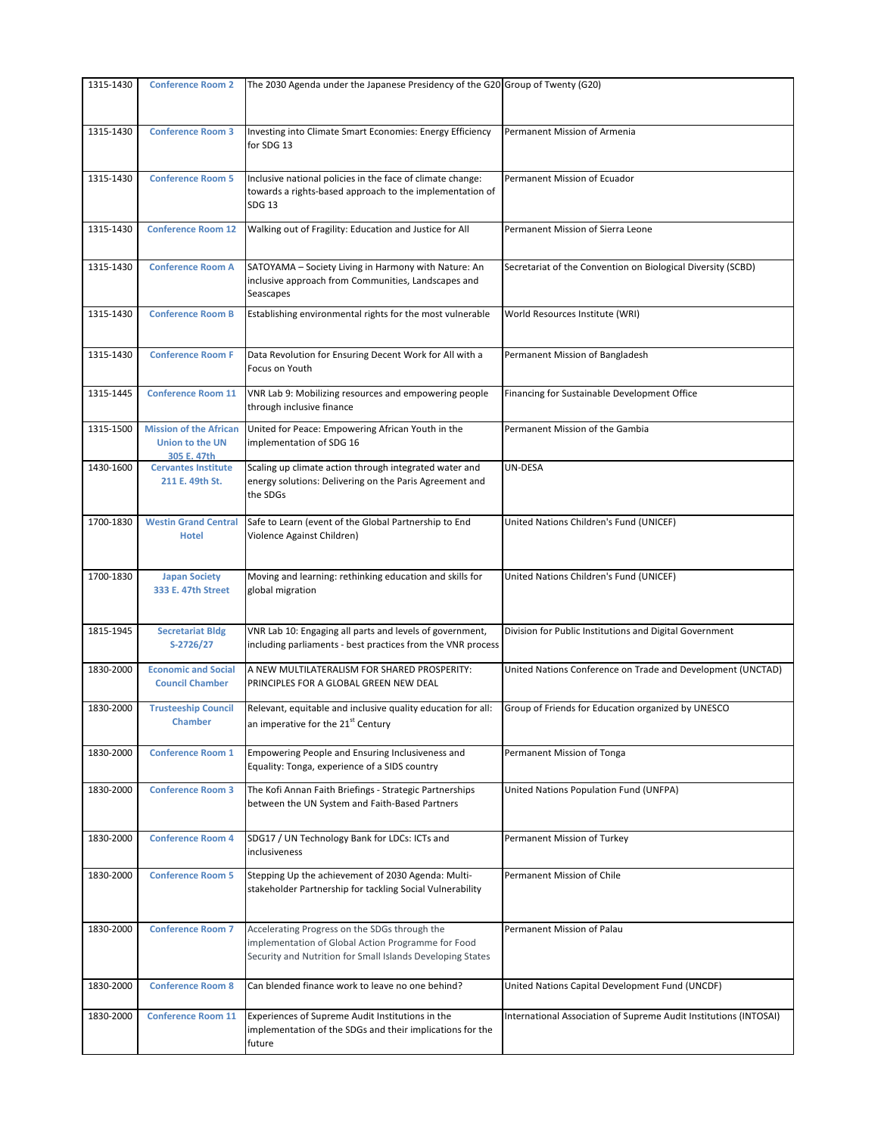| 1315-1430 | <b>Conference Room 2</b>                                               | The 2030 Agenda under the Japanese Presidency of the G20 Group of Twenty (G20)                                                                                    |                                                                   |
|-----------|------------------------------------------------------------------------|-------------------------------------------------------------------------------------------------------------------------------------------------------------------|-------------------------------------------------------------------|
|           |                                                                        |                                                                                                                                                                   |                                                                   |
| 1315-1430 | <b>Conference Room 3</b>                                               | Investing into Climate Smart Economies: Energy Efficiency<br>for SDG 13                                                                                           | Permanent Mission of Armenia                                      |
| 1315-1430 | <b>Conference Room 5</b>                                               | Inclusive national policies in the face of climate change:<br>towards a rights-based approach to the implementation of<br><b>SDG 13</b>                           | Permanent Mission of Ecuador                                      |
| 1315-1430 | <b>Conference Room 12</b>                                              | Walking out of Fragility: Education and Justice for All                                                                                                           | Permanent Mission of Sierra Leone                                 |
| 1315-1430 | <b>Conference Room A</b>                                               | SATOYAMA - Society Living in Harmony with Nature: An<br>inclusive approach from Communities, Landscapes and<br>Seascapes                                          | Secretariat of the Convention on Biological Diversity (SCBD)      |
| 1315-1430 | <b>Conference Room B</b>                                               | Establishing environmental rights for the most vulnerable                                                                                                         | World Resources Institute (WRI)                                   |
| 1315-1430 | <b>Conference Room F</b>                                               | Data Revolution for Ensuring Decent Work for All with a<br>Focus on Youth                                                                                         | Permanent Mission of Bangladesh                                   |
| 1315-1445 | <b>Conference Room 11</b>                                              | VNR Lab 9: Mobilizing resources and empowering people<br>through inclusive finance                                                                                | Financing for Sustainable Development Office                      |
| 1315-1500 | <b>Mission of the African</b><br><b>Union to the UN</b><br>305 E. 47th | United for Peace: Empowering African Youth in the<br>implementation of SDG 16                                                                                     | Permanent Mission of the Gambia                                   |
| 1430-1600 | <b>Cervantes Institute</b><br>211 E. 49th St.                          | Scaling up climate action through integrated water and<br>energy solutions: Delivering on the Paris Agreement and<br>the SDGs                                     | UN-DESA                                                           |
| 1700-1830 | <b>Westin Grand Central</b><br><b>Hotel</b>                            | Safe to Learn (event of the Global Partnership to End<br>Violence Against Children)                                                                               | United Nations Children's Fund (UNICEF)                           |
| 1700-1830 | <b>Japan Society</b><br>333 E. 47th Street                             | Moving and learning: rethinking education and skills for<br>global migration                                                                                      | United Nations Children's Fund (UNICEF)                           |
| 1815-1945 | <b>Secretariat Bldg</b><br>S-2726/27                                   | VNR Lab 10: Engaging all parts and levels of government,<br>including parliaments - best practices from the VNR process                                           | Division for Public Institutions and Digital Government           |
| 1830-2000 | <b>Economic and Social</b><br><b>Council Chamber</b>                   | A NEW MULTILATERALISM FOR SHARED PROSPERITY:<br>PRINCIPLES FOR A GLOBAL GREEN NEW DEAL                                                                            | United Nations Conference on Trade and Development (UNCTAD)       |
| 1830-2000 | <b>Trusteeship Council</b><br><b>Chamber</b>                           | Relevant, equitable and inclusive quality education for all:<br>an imperative for the 21 <sup>3</sup> Century                                                     | Group of Friends for Education organized by UNESCO                |
| 1830-2000 | <b>Conference Room 1</b>                                               | Empowering People and Ensuring Inclusiveness and<br>Equality: Tonga, experience of a SIDS country                                                                 | Permanent Mission of Tonga                                        |
| 1830-2000 | <b>Conference Room 3</b>                                               | The Kofi Annan Faith Briefings - Strategic Partnerships<br>between the UN System and Faith-Based Partners                                                         | United Nations Population Fund (UNFPA)                            |
| 1830-2000 | <b>Conference Room 4</b>                                               | SDG17 / UN Technology Bank for LDCs: ICTs and<br>inclusiveness                                                                                                    | Permanent Mission of Turkey                                       |
| 1830-2000 | <b>Conference Room 5</b>                                               | Stepping Up the achievement of 2030 Agenda: Multi-<br>stakeholder Partnership for tackling Social Vulnerability                                                   | Permanent Mission of Chile                                        |
| 1830-2000 | <b>Conference Room 7</b>                                               | Accelerating Progress on the SDGs through the<br>implementation of Global Action Programme for Food<br>Security and Nutrition for Small Islands Developing States | Permanent Mission of Palau                                        |
| 1830-2000 | <b>Conference Room 8</b>                                               | Can blended finance work to leave no one behind?                                                                                                                  | United Nations Capital Development Fund (UNCDF)                   |
| 1830-2000 | <b>Conference Room 11</b>                                              | Experiences of Supreme Audit Institutions in the<br>implementation of the SDGs and their implications for the<br>future                                           | International Association of Supreme Audit Institutions (INTOSAI) |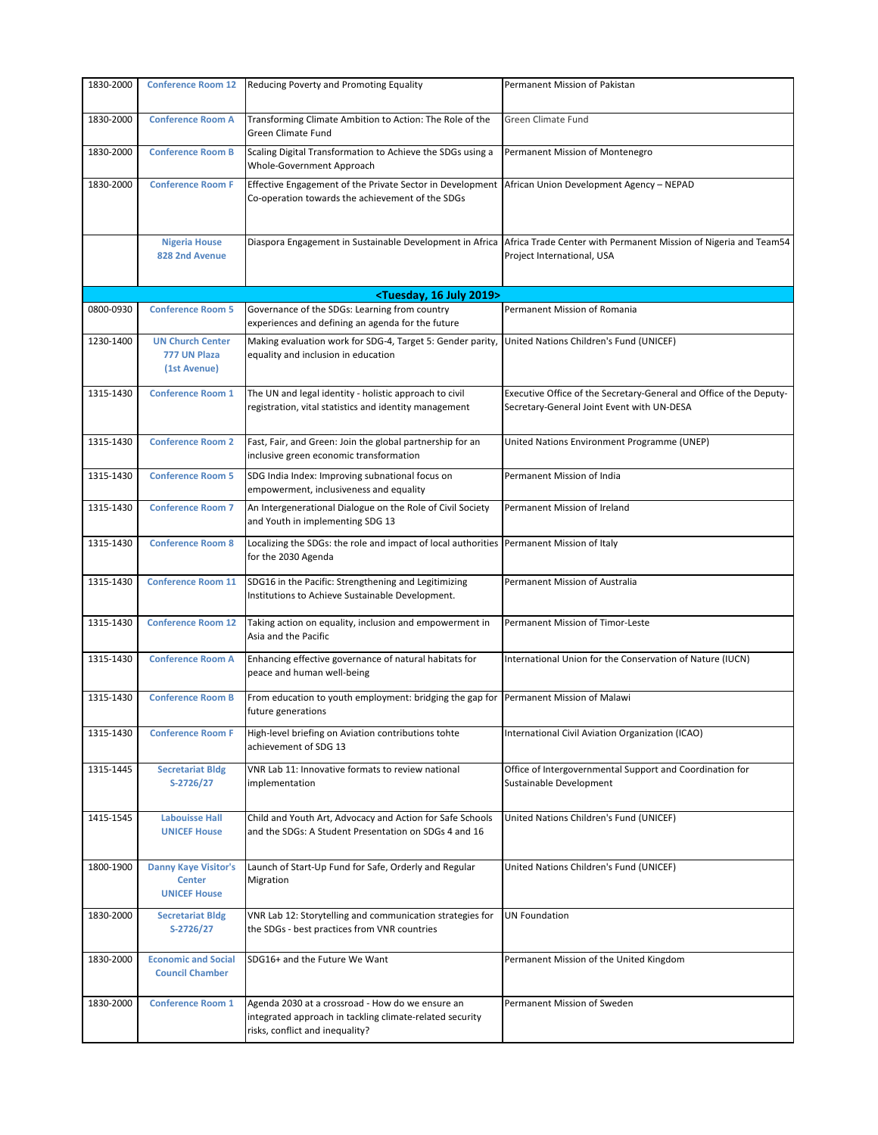| 1830-2000 | <b>Conference Room 12</b>                                           | Reducing Poverty and Promoting Equality                                                                                                                  | Permanent Mission of Pakistan                                                                                     |
|-----------|---------------------------------------------------------------------|----------------------------------------------------------------------------------------------------------------------------------------------------------|-------------------------------------------------------------------------------------------------------------------|
| 1830-2000 | <b>Conference Room A</b>                                            | Transforming Climate Ambition to Action: The Role of the<br>Green Climate Fund                                                                           | Green Climate Fund                                                                                                |
| 1830-2000 | <b>Conference Room B</b>                                            | Scaling Digital Transformation to Achieve the SDGs using a<br>Whole-Government Approach                                                                  | Permanent Mission of Montenegro                                                                                   |
| 1830-2000 | <b>Conference Room F</b>                                            | Effective Engagement of the Private Sector in Development   African Union Development Agency - NEPAD<br>Co-operation towards the achievement of the SDGs |                                                                                                                   |
|           | <b>Nigeria House</b><br>828 2nd Avenue                              | Diaspora Engagement in Sustainable Development in Africa                                                                                                 | Africa Trade Center with Permanent Mission of Nigeria and Team54<br>Project International, USA                    |
|           |                                                                     | <tuesday, 16="" 2019="" july=""></tuesday,>                                                                                                              |                                                                                                                   |
| 0800-0930 | <b>Conference Room 5</b>                                            | Governance of the SDGs: Learning from country<br>experiences and defining an agenda for the future                                                       | Permanent Mission of Romania                                                                                      |
| 1230-1400 | <b>UN Church Center</b><br>777 UN Plaza<br>(1st Avenue)             | Making evaluation work for SDG-4, Target 5: Gender parity,<br>equality and inclusion in education                                                        | United Nations Children's Fund (UNICEF)                                                                           |
| 1315-1430 | <b>Conference Room 1</b>                                            | The UN and legal identity - holistic approach to civil<br>registration, vital statistics and identity management                                         | Executive Office of the Secretary-General and Office of the Deputy-<br>Secretary-General Joint Event with UN-DESA |
| 1315-1430 | <b>Conference Room 2</b>                                            | Fast, Fair, and Green: Join the global partnership for an<br>inclusive green economic transformation                                                     | United Nations Environment Programme (UNEP)                                                                       |
| 1315-1430 | <b>Conference Room 5</b>                                            | SDG India Index: Improving subnational focus on<br>empowerment, inclusiveness and equality                                                               | Permanent Mission of India                                                                                        |
| 1315-1430 | <b>Conference Room 7</b>                                            | An Intergenerational Dialogue on the Role of Civil Society<br>and Youth in implementing SDG 13                                                           | Permanent Mission of Ireland                                                                                      |
| 1315-1430 | <b>Conference Room 8</b>                                            | Localizing the SDGs: the role and impact of local authorities Permanent Mission of Italy<br>for the 2030 Agenda                                          |                                                                                                                   |
| 1315-1430 | <b>Conference Room 11</b>                                           | SDG16 in the Pacific: Strengthening and Legitimizing<br>Institutions to Achieve Sustainable Development.                                                 | Permanent Mission of Australia                                                                                    |
| 1315-1430 | <b>Conference Room 12</b>                                           | Taking action on equality, inclusion and empowerment in<br>Asia and the Pacific                                                                          | Permanent Mission of Timor-Leste                                                                                  |
| 1315-1430 | <b>Conference Room A</b>                                            | Enhancing effective governance of natural habitats for<br>peace and human well-being                                                                     | International Union for the Conservation of Nature (IUCN)                                                         |
| 1315-1430 | <b>Conference Room B</b>                                            | From education to youth employment: bridging the gap for Permanent Mission of Malawi<br>future generations                                               |                                                                                                                   |
| 1315-1430 | <b>Conference Room F</b>                                            | High-level briefing on Aviation contributions tohte<br>achievement of SDG 13                                                                             | International Civil Aviation Organization (ICAO)                                                                  |
| 1315-1445 | <b>Secretariat Bldg</b><br>S-2726/27                                | VNR Lab 11: Innovative formats to review national<br>implementation                                                                                      | Office of Intergovernmental Support and Coordination for<br>Sustainable Development                               |
| 1415-1545 | <b>Labouisse Hall</b><br><b>UNICEF House</b>                        | Child and Youth Art, Advocacy and Action for Safe Schools<br>and the SDGs: A Student Presentation on SDGs 4 and 16                                       | United Nations Children's Fund (UNICEF)                                                                           |
| 1800-1900 | <b>Danny Kaye Visitor's</b><br><b>Center</b><br><b>UNICEF House</b> | Launch of Start-Up Fund for Safe, Orderly and Regular<br>Migration                                                                                       | United Nations Children's Fund (UNICEF)                                                                           |
| 1830-2000 | <b>Secretariat Bldg</b><br>S-2726/27                                | VNR Lab 12: Storytelling and communication strategies for<br>the SDGs - best practices from VNR countries                                                | <b>UN Foundation</b>                                                                                              |
| 1830-2000 | <b>Economic and Social</b><br><b>Council Chamber</b>                | SDG16+ and the Future We Want                                                                                                                            | Permanent Mission of the United Kingdom                                                                           |
| 1830-2000 | <b>Conference Room 1</b>                                            | Agenda 2030 at a crossroad - How do we ensure an<br>integrated approach in tackling climate-related security<br>risks, conflict and inequality?          | Permanent Mission of Sweden                                                                                       |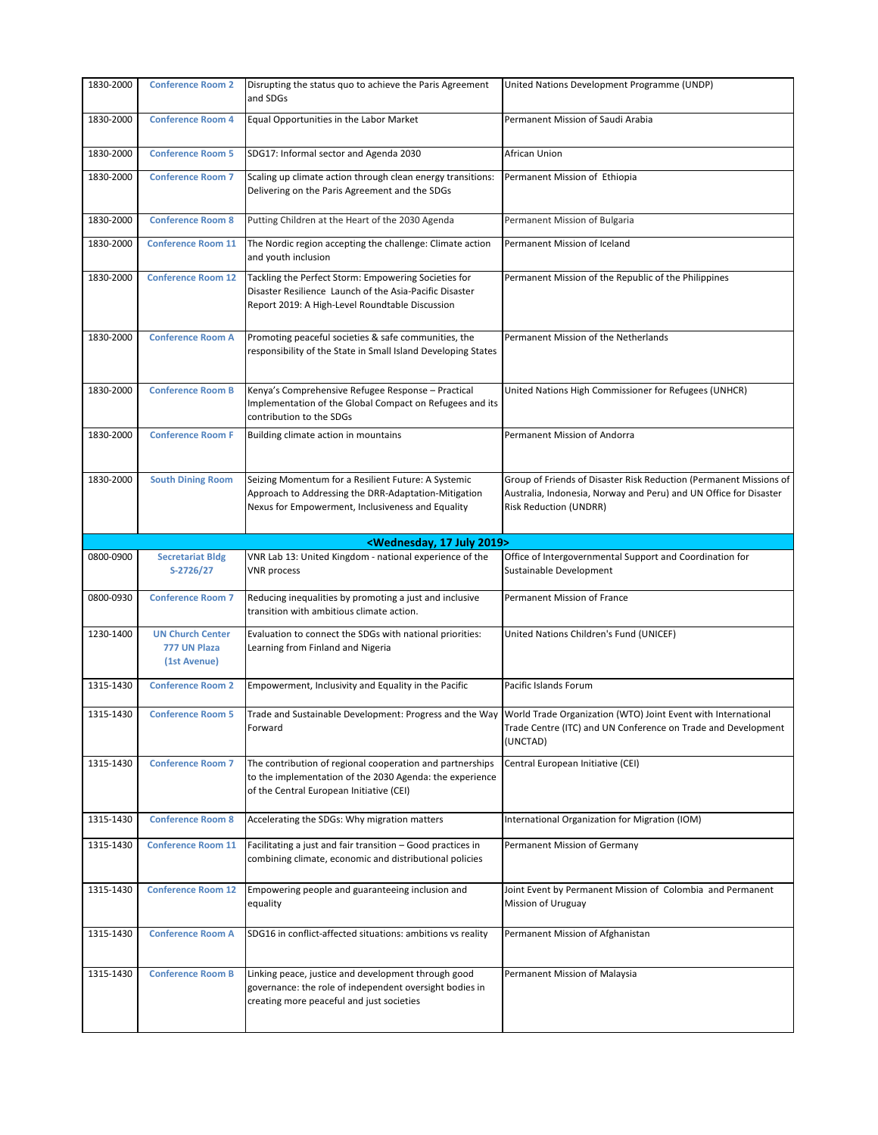|           | <b>Conference Room 2</b>                                | Disrupting the status quo to achieve the Paris Agreement<br>and SDGs                                                                                               | United Nations Development Programme (UNDP)                                                                                                                                                          |
|-----------|---------------------------------------------------------|--------------------------------------------------------------------------------------------------------------------------------------------------------------------|------------------------------------------------------------------------------------------------------------------------------------------------------------------------------------------------------|
| 1830-2000 | <b>Conference Room 4</b>                                | Equal Opportunities in the Labor Market                                                                                                                            | Permanent Mission of Saudi Arabia                                                                                                                                                                    |
| 1830-2000 | <b>Conference Room 5</b>                                | SDG17: Informal sector and Agenda 2030                                                                                                                             | African Union                                                                                                                                                                                        |
| 1830-2000 | <b>Conference Room 7</b>                                | Scaling up climate action through clean energy transitions:<br>Delivering on the Paris Agreement and the SDGs                                                      | Permanent Mission of Ethiopia                                                                                                                                                                        |
| 1830-2000 | <b>Conference Room 8</b>                                | Putting Children at the Heart of the 2030 Agenda                                                                                                                   | Permanent Mission of Bulgaria                                                                                                                                                                        |
| 1830-2000 | <b>Conference Room 11</b>                               | The Nordic region accepting the challenge: Climate action<br>and youth inclusion                                                                                   | Permanent Mission of Iceland                                                                                                                                                                         |
| 1830-2000 | <b>Conference Room 12</b>                               | Tackling the Perfect Storm: Empowering Societies for<br>Disaster Resilience Launch of the Asia-Pacific Disaster<br>Report 2019: A High-Level Roundtable Discussion | Permanent Mission of the Republic of the Philippines                                                                                                                                                 |
| 1830-2000 | <b>Conference Room A</b>                                | Promoting peaceful societies & safe communities, the<br>responsibility of the State in Small Island Developing States                                              | Permanent Mission of the Netherlands                                                                                                                                                                 |
| 1830-2000 | <b>Conference Room B</b>                                | Kenya's Comprehensive Refugee Response - Practical<br>Implementation of the Global Compact on Refugees and its<br>contribution to the SDGs                         | United Nations High Commissioner for Refugees (UNHCR)                                                                                                                                                |
| 1830-2000 | <b>Conference Room F</b>                                | Building climate action in mountains                                                                                                                               | Permanent Mission of Andorra                                                                                                                                                                         |
| 1830-2000 | <b>South Dining Room</b>                                | Seizing Momentum for a Resilient Future: A Systemic<br>Approach to Addressing the DRR-Adaptation-Mitigation<br>Nexus for Empowerment, Inclusiveness and Equality   | Group of Friends of Disaster Risk Reduction (Permanent Missions of<br>Australia, Indonesia, Norway and Peru) and UN Office for Disaster<br><b>Risk Reduction (UNDRR)</b>                             |
|           |                                                         | <wednesday, 17="" 2019="" july=""></wednesday,>                                                                                                                    |                                                                                                                                                                                                      |
| 0800-0900 | <b>Secretariat Bldg</b><br>S-2726/27                    | VNR Lab 13: United Kingdom - national experience of the<br><b>VNR</b> process                                                                                      | Office of Intergovernmental Support and Coordination for<br>Sustainable Development                                                                                                                  |
| 0800-0930 | <b>Conference Room 7</b>                                | Reducing inequalities by promoting a just and inclusive<br>transition with ambitious climate action.                                                               | Permanent Mission of France                                                                                                                                                                          |
| 1230-1400 |                                                         |                                                                                                                                                                    |                                                                                                                                                                                                      |
|           | <b>UN Church Center</b><br>777 UN Plaza<br>(1st Avenue) | Evaluation to connect the SDGs with national priorities:<br>Learning from Finland and Nigeria                                                                      | United Nations Children's Fund (UNICEF)                                                                                                                                                              |
| 1315-1430 | <b>Conference Room 2</b>                                | Empowerment, Inclusivity and Equality in the Pacific                                                                                                               | Pacific Islands Forum                                                                                                                                                                                |
| 1315-1430 | <b>Conference Room 5</b>                                | Forward                                                                                                                                                            | Trade and Sustainable Development: Progress and the Way   World Trade Organization (WTO) Joint Event with International<br>Trade Centre (ITC) and UN Conference on Trade and Development<br>(UNCTAD) |
| 1315-1430 | <b>Conference Room 7</b>                                | The contribution of regional cooperation and partnerships<br>to the implementation of the 2030 Agenda: the experience<br>of the Central European Initiative (CEI)  | Central European Initiative (CEI)                                                                                                                                                                    |
| 1315-1430 | <b>Conference Room 8</b>                                | Accelerating the SDGs: Why migration matters                                                                                                                       | International Organization for Migration (IOM)                                                                                                                                                       |
| 1315-1430 | <b>Conference Room 11</b>                               | Facilitating a just and fair transition - Good practices in<br>combining climate, economic and distributional policies                                             | Permanent Mission of Germany                                                                                                                                                                         |
| 1315-1430 | <b>Conference Room 12</b>                               | Empowering people and guaranteeing inclusion and<br>equality                                                                                                       | Joint Event by Permanent Mission of Colombia and Permanent<br>Mission of Uruguay                                                                                                                     |
| 1315-1430 | <b>Conference Room A</b>                                | SDG16 in conflict-affected situations: ambitions vs reality                                                                                                        | Permanent Mission of Afghanistan                                                                                                                                                                     |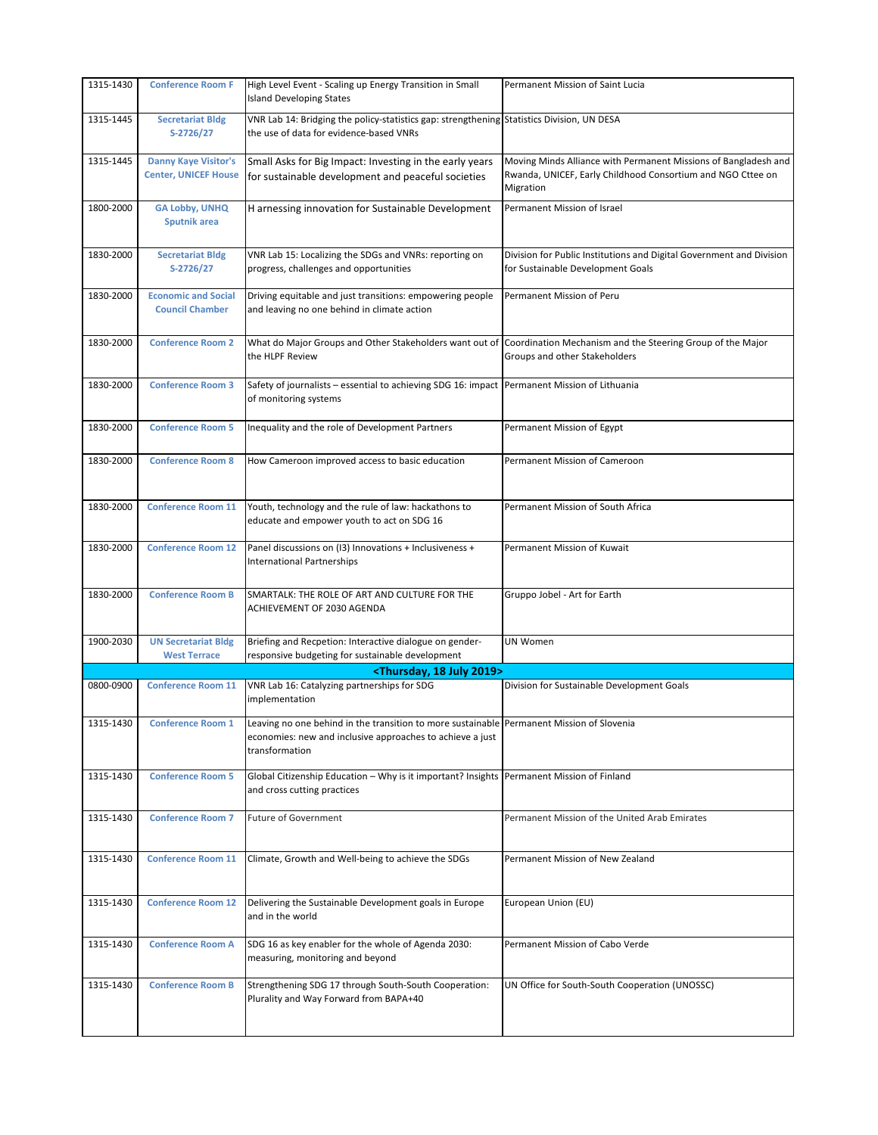| 1315-1430 | <b>Conference Room F</b>                                   | High Level Event - Scaling up Energy Transition in Small<br><b>Island Developing States</b>                                                                              | Permanent Mission of Saint Lucia                                                                                                            |
|-----------|------------------------------------------------------------|--------------------------------------------------------------------------------------------------------------------------------------------------------------------------|---------------------------------------------------------------------------------------------------------------------------------------------|
| 1315-1445 | <b>Secretariat Bldg</b><br>S-2726/27                       | VNR Lab 14: Bridging the policy-statistics gap: strengthening<br>the use of data for evidence-based VNRs                                                                 | <b>Statistics Division, UN DESA</b>                                                                                                         |
| 1315-1445 | <b>Danny Kaye Visitor's</b><br><b>Center, UNICEF House</b> | Small Asks for Big Impact: Investing in the early years<br>for sustainable development and peaceful societies                                                            | Moving Minds Alliance with Permanent Missions of Bangladesh and<br>Rwanda, UNICEF, Early Childhood Consortium and NGO Cttee on<br>Migration |
| 1800-2000 | <b>GA Lobby, UNHQ</b><br><b>Sputnik area</b>               | H arnessing innovation for Sustainable Development                                                                                                                       | Permanent Mission of Israel                                                                                                                 |
| 1830-2000 | <b>Secretariat Bldg</b><br>S-2726/27                       | VNR Lab 15: Localizing the SDGs and VNRs: reporting on<br>progress, challenges and opportunities                                                                         | Division for Public Institutions and Digital Government and Division<br>for Sustainable Development Goals                                   |
| 1830-2000 | <b>Economic and Social</b><br><b>Council Chamber</b>       | Driving equitable and just transitions: empowering people<br>and leaving no one behind in climate action                                                                 | Permanent Mission of Peru                                                                                                                   |
| 1830-2000 | <b>Conference Room 2</b>                                   | What do Major Groups and Other Stakeholders want out of<br>the HLPF Review                                                                                               | Coordination Mechanism and the Steering Group of the Major<br>Groups and other Stakeholders                                                 |
| 1830-2000 | <b>Conference Room 3</b>                                   | Safety of journalists - essential to achieving SDG 16: impact Permanent Mission of Lithuania<br>of monitoring systems                                                    |                                                                                                                                             |
| 1830-2000 | <b>Conference Room 5</b>                                   | Inequality and the role of Development Partners                                                                                                                          | Permanent Mission of Egypt                                                                                                                  |
| 1830-2000 | <b>Conference Room 8</b>                                   | How Cameroon improved access to basic education                                                                                                                          | Permanent Mission of Cameroon                                                                                                               |
| 1830-2000 | <b>Conference Room 11</b>                                  | Youth, technology and the rule of law: hackathons to<br>educate and empower youth to act on SDG 16                                                                       | Permanent Mission of South Africa                                                                                                           |
| 1830-2000 | <b>Conference Room 12</b>                                  | Panel discussions on (I3) Innovations + Inclusiveness +<br><b>International Partnerships</b>                                                                             | Permanent Mission of Kuwait                                                                                                                 |
| 1830-2000 | <b>Conference Room B</b>                                   | SMARTALK: THE ROLE OF ART AND CULTURE FOR THE<br>ACHIEVEMENT OF 2030 AGENDA                                                                                              | Gruppo Jobel - Art for Earth                                                                                                                |
| 1900-2030 | <b>UN Secretariat Bldg</b><br><b>West Terrace</b>          | Briefing and Recpetion: Interactive dialogue on gender-<br>responsive budgeting for sustainable development                                                              | UN Women                                                                                                                                    |
|           |                                                            | <thursday, 18="" 2019="" july=""></thursday,>                                                                                                                            |                                                                                                                                             |
| 0800-0900 | <b>Conference Room 11</b>                                  | VNR Lab 16: Catalyzing partnerships for SDG<br>implementation                                                                                                            | Division for Sustainable Development Goals                                                                                                  |
| 1315-1430 | <b>Conference Room 1</b>                                   | Leaving no one behind in the transition to more sustainable Permanent Mission of Slovenia<br>economies: new and inclusive approaches to achieve a just<br>transformation |                                                                                                                                             |
| 1315-1430 | <b>Conference Room 5</b>                                   | Global Citizenship Education - Why is it important? Insights   Permanent Mission of Finland<br>and cross cutting practices                                               |                                                                                                                                             |
| 1315-1430 | <b>Conference Room 7</b>                                   | Future of Government                                                                                                                                                     | Permanent Mission of the United Arab Emirates                                                                                               |
| 1315-1430 | <b>Conference Room 11</b>                                  | Climate, Growth and Well-being to achieve the SDGs                                                                                                                       | Permanent Mission of New Zealand                                                                                                            |
| 1315-1430 | <b>Conference Room 12</b>                                  | Delivering the Sustainable Development goals in Europe<br>and in the world                                                                                               | European Union (EU)                                                                                                                         |
| 1315-1430 | <b>Conference Room A</b>                                   | SDG 16 as key enabler for the whole of Agenda 2030:<br>measuring, monitoring and beyond                                                                                  | Permanent Mission of Cabo Verde                                                                                                             |
| 1315-1430 | <b>Conference Room B</b>                                   | Strengthening SDG 17 through South-South Cooperation:<br>Plurality and Way Forward from BAPA+40                                                                          | UN Office for South-South Cooperation (UNOSSC)                                                                                              |